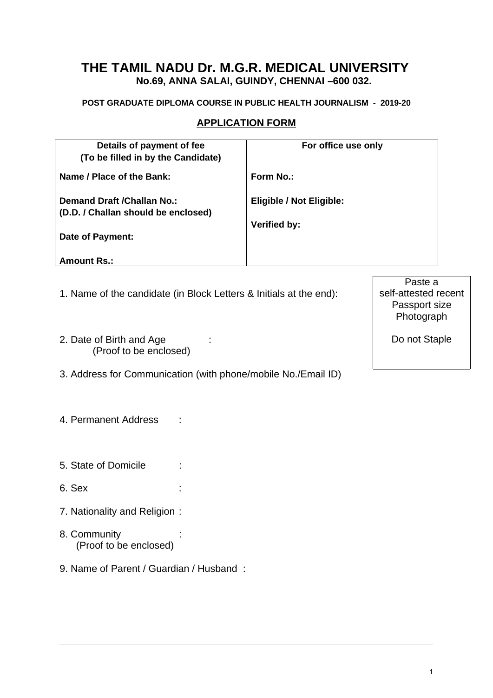## **THE TAMIL NADU Dr. M.G.R. MEDICAL UNIVERSITY No.69, ANNA SALAI, GUINDY, CHENNAI –600 032.**

#### **POST GRADUATE DIPLOMA COURSE IN PUBLIC HEALTH JOURNALISM - 2019-20**

#### **APPLICATION FORM**

| Details of payment of fee           | For office use only             |
|-------------------------------------|---------------------------------|
| (To be filled in by the Candidate)  |                                 |
| Name / Place of the Bank:           | Form No.:                       |
| <b>Demand Draft / Challan No.:</b>  | <b>Eligible / Not Eligible:</b> |
| (D.D. / Challan should be enclosed) |                                 |
|                                     | Verified by:                    |
| Date of Payment:                    |                                 |
| <b>Amount Rs.:</b>                  |                                 |

- 1. Name of the candidate (in Block Letters & Initials at the end):
- 2. Date of Birth and Age : (Proof to be enclosed)
- 3. Address for Communication (with phone/mobile No./Email ID)
- 4. Permanent Address :
- 5. State of Domicile :
- 6. Sex :
- 7. Nationality and Religion :
- 8. Community (Proof to be enclosed)
- 9. Name of Parent / Guardian / Husband :

Paste a self-attested recent Passport size Photograph

Do not Staple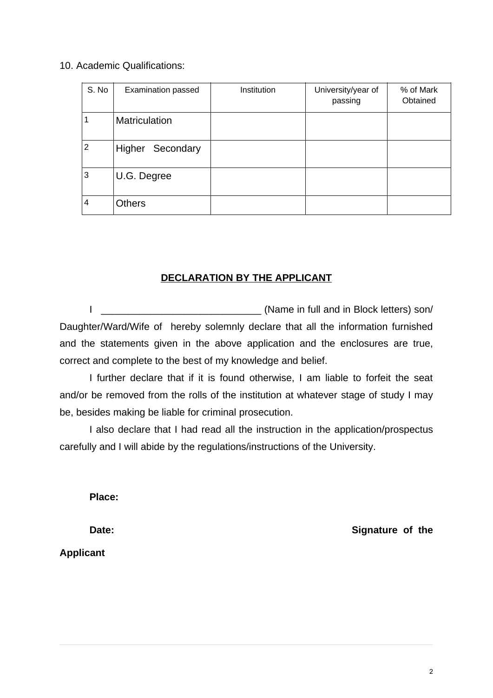#### 10. Academic Qualifications:

| S. No          | <b>Examination passed</b> | Institution | University/year of<br>passing | % of Mark<br>Obtained |
|----------------|---------------------------|-------------|-------------------------------|-----------------------|
|                | <b>Matriculation</b>      |             |                               |                       |
| $\overline{2}$ | Higher<br>Secondary       |             |                               |                       |
| 3              | U.G. Degree               |             |                               |                       |
| 4              | Others                    |             |                               |                       |

### **DECLARATION BY THE APPLICANT**

I \_\_\_\_\_\_\_\_\_\_\_\_\_\_\_\_\_\_\_\_\_\_\_\_\_\_\_\_\_ (Name in full and in Block letters) son/ Daughter/Ward/Wife of hereby solemnly declare that all the information furnished and the statements given in the above application and the enclosures are true, correct and complete to the best of my knowledge and belief.

I further declare that if it is found otherwise, I am liable to forfeit the seat and/or be removed from the rolls of the institution at whatever stage of study I may be, besides making be liable for criminal prosecution.

I also declare that I had read all the instruction in the application/prospectus carefully and I will abide by the regulations/instructions of the University.

**Place:** 

**Applicant** 

**Date:** Signature of the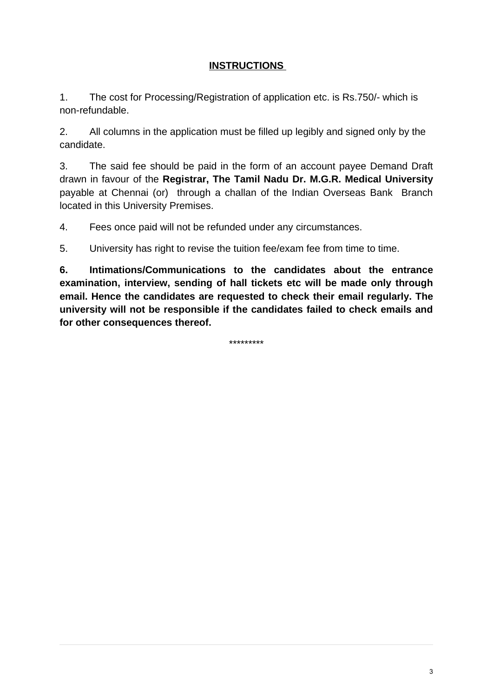### **INSTRUCTIONS**

1. The cost for Processing/Registration of application etc. is Rs.750/- which is non-refundable.

2. All columns in the application must be filled up legibly and signed only by the candidate.

3. The said fee should be paid in the form of an account payee Demand Draft drawn in favour of the **Registrar, The Tamil Nadu Dr. M.G.R. Medical University** payable at Chennai (or) through a challan of the Indian Overseas Bank Branch located in this University Premises.

4. Fees once paid will not be refunded under any circumstances.

5. University has right to revise the tuition fee/exam fee from time to time.

**6. Intimations/Communications to the candidates about the entrance examination, interview, sending of hall tickets etc will be made only through email. Hence the candidates are requested to check their email regularly. The university will not be responsible if the candidates failed to check emails and for other consequences thereof.**

\*\*\*\*\*\*\*\*\*